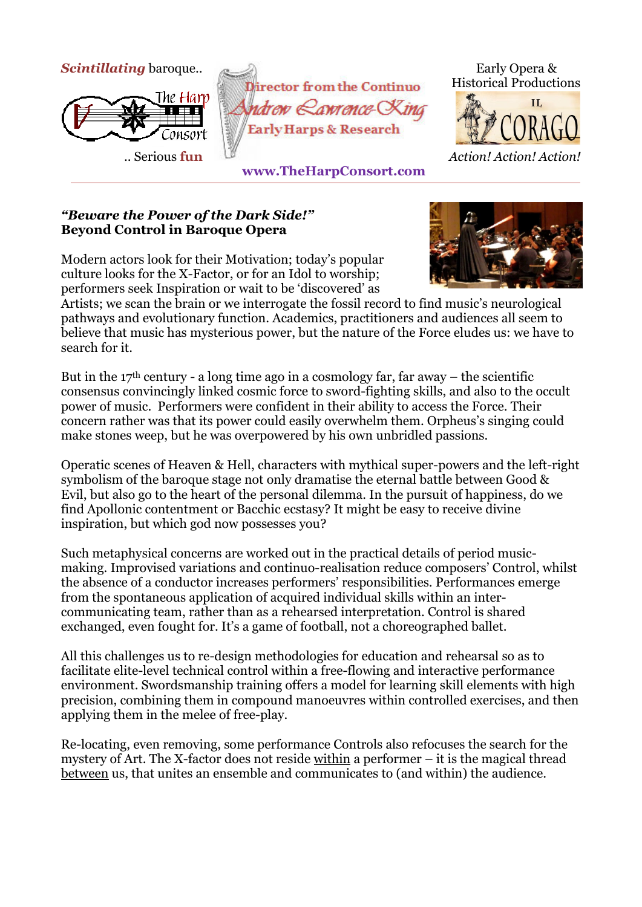



## *"Beware the Power of the Dark Side!"*  **Beyond Control in Baroque Opera**

Modern actors look for their Motivation; today's popular culture looks for the X-Factor, or for an Idol to worship; performers seek Inspiration or wait to be 'discovered' as



Artists; we scan the brain or we interrogate the fossil record to find music's neurological pathways and evolutionary function. Academics, practitioners and audiences all seem to believe that music has mysterious power, but the nature of the Force eludes us: we have to search for it.

But in the  $17<sup>th</sup>$  century - a long time ago in a cosmology far, far away – the scientific consensus convincingly linked cosmic force to sword-fighting skills, and also to the occult power of music. Performers were confident in their ability to access the Force. Their concern rather was that its power could easily overwhelm them. Orpheus's singing could make stones weep, but he was overpowered by his own unbridled passions.

Operatic scenes of Heaven & Hell, characters with mythical super-powers and the left-right symbolism of the baroque stage not only dramatise the eternal battle between Good & Evil, but also go to the heart of the personal dilemma. In the pursuit of happiness, do we find Apollonic contentment or Bacchic ecstasy? It might be easy to receive divine inspiration, but which god now possesses you?

Such metaphysical concerns are worked out in the practical details of period musicmaking. Improvised variations and continuo-realisation reduce composers' Control, whilst the absence of a conductor increases performers' responsibilities. Performances emerge from the spontaneous application of acquired individual skills within an intercommunicating team, rather than as a rehearsed interpretation. Control is shared exchanged, even fought for. It's a game of football, not a choreographed ballet.

All this challenges us to re-design methodologies for education and rehearsal so as to facilitate elite-level technical control within a free-flowing and interactive performance environment. Swordsmanship training offers a model for learning skill elements with high precision, combining them in compound manoeuvres within controlled exercises, and then applying them in the melee of free-play.

Re-locating, even removing, some performance Controls also refocuses the search for the mystery of Art. The X-factor does not reside within a performer – it is the magical thread between us, that unites an ensemble and communicates to (and within) the audience.